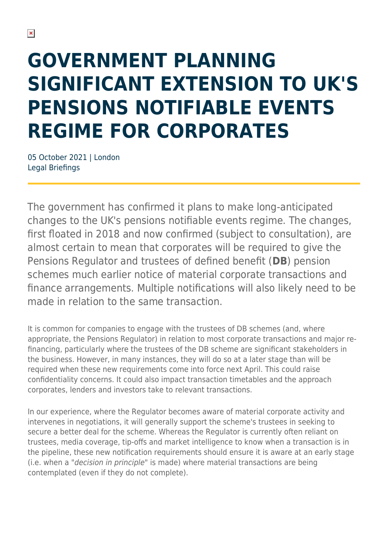# **GOVERNMENT PLANNING SIGNIFICANT EXTENSION TO UK'S PENSIONS NOTIFIABLE EVENTS REGIME FOR CORPORATES**

05 October 2021 | London Legal Briefings

The government has confirmed it plans to make long-anticipated changes to the UK's pensions notifiable events regime. The changes, first floated in 2018 and now confirmed (subject to consultation), are almost certain to mean that corporates will be required to give the Pensions Regulator and trustees of defined benefit (**DB**) pension schemes much earlier notice of material corporate transactions and finance arrangements. Multiple notifications will also likely need to be made in relation to the same transaction.

It is common for companies to engage with the trustees of DB schemes (and, where appropriate, the Pensions Regulator) in relation to most corporate transactions and major refinancing, particularly where the trustees of the DB scheme are significant stakeholders in the business. However, in many instances, they will do so at a later stage than will be required when these new requirements come into force next April. This could raise confidentiality concerns. It could also impact transaction timetables and the approach corporates, lenders and investors take to relevant transactions.

In our experience, where the Regulator becomes aware of material corporate activity and intervenes in negotiations, it will generally support the scheme's trustees in seeking to secure a better deal for the scheme. Whereas the Regulator is currently often reliant on trustees, media coverage, tip-offs and market intelligence to know when a transaction is in the pipeline, these new notification requirements should ensure it is aware at an early stage (i.e. when a "decision in principle" is made) where material transactions are being contemplated (even if they do not complete).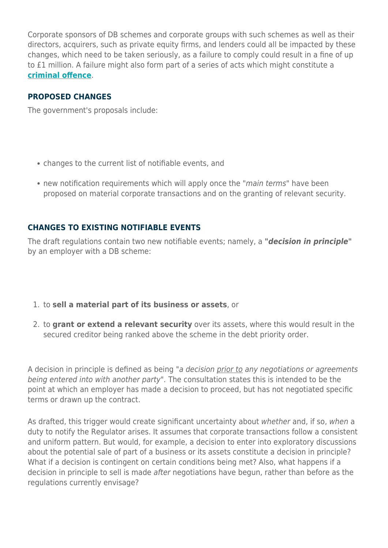Corporate sponsors of DB schemes and corporate groups with such schemes as well as their directors, acquirers, such as private equity firms, and lenders could all be impacted by these changes, which need to be taken seriously, as a failure to comply could result in a fine of up to £1 million. A failure might also form part of a series of acts which might constitute a **[criminal offence](https://hsfnotes.com/pensions/2021/10/01/new-pensions-criminal-offences-and-regulatory-sanctions-now-in-force/)**.

#### **PROPOSED CHANGES**

The government's proposals include:

- changes to the current list of notifiable events, and
- new notification requirements which will apply once the "*main terms*" have been proposed on material corporate transactions and on the granting of relevant security.

#### **CHANGES TO EXISTING NOTIFIABLE EVENTS**

The draft regulations contain two new notifiable events; namely, a *"decision in principle"* by an employer with a DB scheme:

- 1. to **sell a material part of its business or assets**, or
- 2. to **grant or extend a relevant security** over its assets, where this would result in the secured creditor being ranked above the scheme in the debt priority order.

A decision in principle is defined as being "a decision prior to any negotiations or agreements being entered into with another party". The consultation states this is intended to be the point at which an employer has made a decision to proceed, but has not negotiated specific terms or drawn up the contract.

As drafted, this trigger would create significant uncertainty about whether and, if so, when a duty to notify the Regulator arises. It assumes that corporate transactions follow a consistent and uniform pattern. But would, for example, a decision to enter into exploratory discussions about the potential sale of part of a business or its assets constitute a decision in principle? What if a decision is contingent on certain conditions being met? Also, what happens if a decision in principle to sell is made after negotiations have begun, rather than before as the regulations currently envisage?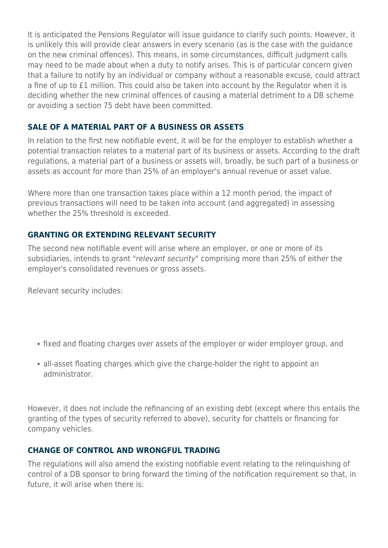It is anticipated the Pensions Regulator will issue guidance to clarify such points. However, it is unlikely this will provide clear answers in every scenario (as is the case with the guidance on the new criminal offences). This means, in some circumstances, difficult judgment calls may need to be made about when a duty to notify arises. This is of particular concern given that a failure to notify by an individual or company without a reasonable excuse, could attract a fine of up to £1 million. This could also be taken into account by the Regulator when it is deciding whether the new criminal offences of causing a material detriment to a DB scheme or avoiding a section 75 debt have been committed.

#### **SALE OF A MATERIAL PART OF A BUSINESS OR ASSETS**

In relation to the first new notifiable event, it will be for the employer to establish whether a potential transaction relates to a material part of its business or assets. According to the draft regulations, a material part of a business or assets will, broadly, be such part of a business or assets as account for more than 25% of an employer's annual revenue or asset value.

Where more than one transaction takes place within a 12 month period, the impact of previous transactions will need to be taken into account (and aggregated) in assessing whether the 25% threshold is exceeded.

#### **GRANTING OR EXTENDING RELEVANT SECURITY**

The second new notifiable event will arise where an employer, or one or more of its subsidiaries, intends to grant "relevant security" comprising more than 25% of either the employer's consolidated revenues or gross assets.

Relevant security includes:

- fixed and floating charges over assets of the employer or wider employer group, and
- all-asset floating charges which give the charge-holder the right to appoint an administrator.

However, it does not include the refinancing of an existing debt (except where this entails the granting of the types of security referred to above), security for chattels or financing for company vehicles.

#### **CHANGE OF CONTROL AND WRONGFUL TRADING**

The regulations will also amend the existing notifiable event relating to the relinquishing of control of a DB sponsor to bring forward the timing of the notification requirement so that, in future, it will arise when there is: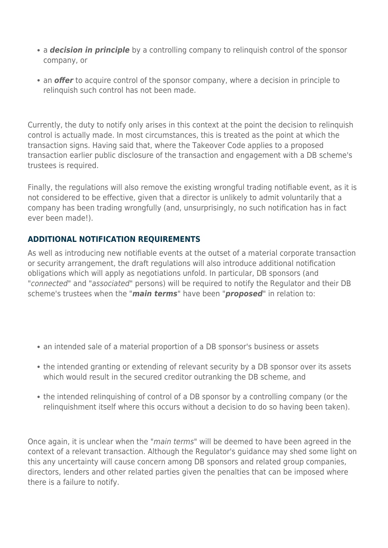- a **decision in principle** by a controlling company to relinguish control of the sponsor company, or
- an *offer* to acquire control of the sponsor company, where a decision in principle to relinquish such control has not been made.

Currently, the duty to notify only arises in this context at the point the decision to relinquish control is actually made. In most circumstances, this is treated as the point at which the transaction signs. Having said that, where the Takeover Code applies to a proposed transaction earlier public disclosure of the transaction and engagement with a DB scheme's trustees is required.

Finally, the regulations will also remove the existing wrongful trading notifiable event, as it is not considered to be effective, given that a director is unlikely to admit voluntarily that a company has been trading wrongfully (and, unsurprisingly, no such notification has in fact ever been made!).

#### **ADDITIONAL NOTIFICATION REQUIREMENTS**

As well as introducing new notifiable events at the outset of a material corporate transaction or security arrangement, the draft regulations will also introduce additional notification obligations which will apply as negotiations unfold. In particular, DB sponsors (and "connected" and "associated" persons) will be required to notify the Regulator and their DB scheme's trustees when the "*main terms*" have been "*proposed*" in relation to:

- an intended sale of a material proportion of a DB sponsor's business or assets
- the intended granting or extending of relevant security by a DB sponsor over its assets which would result in the secured creditor outranking the DB scheme, and
- the intended relinquishing of control of a DB sponsor by a controlling company (or the relinquishment itself where this occurs without a decision to do so having been taken).

Once again, it is unclear when the "main terms" will be deemed to have been agreed in the context of a relevant transaction. Although the Regulator's guidance may shed some light on this any uncertainty will cause concern among DB sponsors and related group companies, directors, lenders and other related parties given the penalties that can be imposed where there is a failure to notify.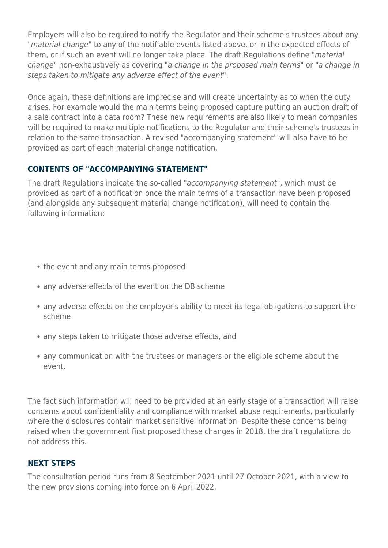Employers will also be required to notify the Regulator and their scheme's trustees about any "material change" to any of the notifiable events listed above, or in the expected effects of them, or if such an event will no longer take place. The draft Regulations define "material change" non-exhaustively as covering "a change in the proposed main terms" or "a change in steps taken to mitigate any adverse effect of the event".

Once again, these definitions are imprecise and will create uncertainty as to when the duty arises. For example would the main terms being proposed capture putting an auction draft of a sale contract into a data room? These new requirements are also likely to mean companies will be required to make multiple notifications to the Regulator and their scheme's trustees in relation to the same transaction. A revised "accompanying statement" will also have to be provided as part of each material change notification.

#### **CONTENTS OF "ACCOMPANYING STATEMENT"**

The draft Regulations indicate the so-called "accompanying statement", which must be provided as part of a notification once the main terms of a transaction have been proposed (and alongside any subsequent material change notification), will need to contain the following information:

- the event and any main terms proposed
- any adverse effects of the event on the DB scheme
- any adverse effects on the employer's ability to meet its legal obligations to support the scheme
- any steps taken to mitigate those adverse effects, and
- any communication with the trustees or managers or the eligible scheme about the event.

The fact such information will need to be provided at an early stage of a transaction will raise concerns about confidentiality and compliance with market abuse requirements, particularly where the disclosures contain market sensitive information. Despite these concerns being raised when the government first proposed these changes in 2018, the draft regulations do not address this.

#### **NEXT STEPS**

The consultation period runs from 8 September 2021 until 27 October 2021, with a view to the new provisions coming into force on 6 April 2022.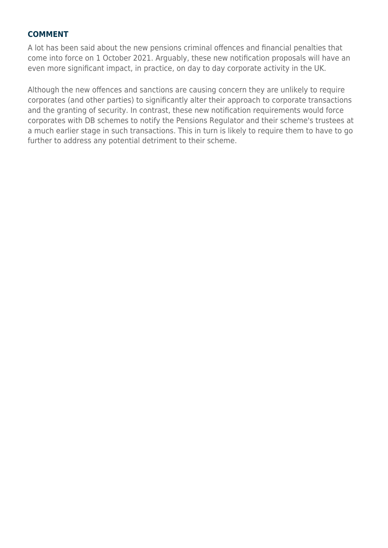#### **COMMENT**

A lot has been said about the new pensions criminal offences and financial penalties that come into force on 1 October 2021. Arguably, these new notification proposals will have an even more significant impact, in practice, on day to day corporate activity in the UK.

Although the new offences and sanctions are causing concern they are unlikely to require corporates (and other parties) to significantly alter their approach to corporate transactions and the granting of security. In contrast, these new notification requirements would force corporates with DB schemes to notify the Pensions Regulator and their scheme's trustees at a much earlier stage in such transactions. This in turn is likely to require them to have to go further to address any potential detriment to their scheme.